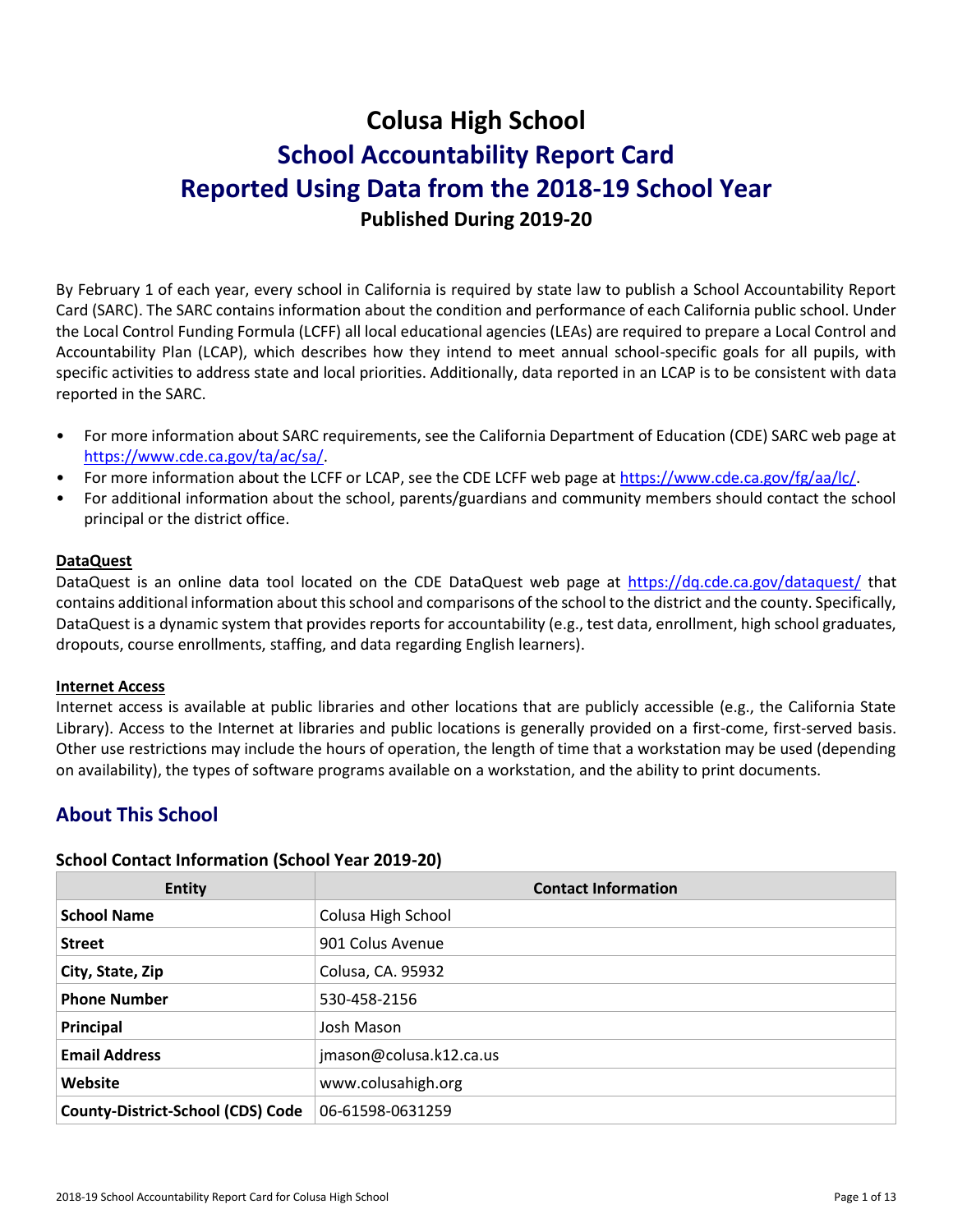# **Colusa High School School Accountability Report Card Reported Using Data from the 2018-19 School Year Published During 2019-20**

By February 1 of each year, every school in California is required by state law to publish a School Accountability Report Card (SARC). The SARC contains information about the condition and performance of each California public school. Under the Local Control Funding Formula (LCFF) all local educational agencies (LEAs) are required to prepare a Local Control and Accountability Plan (LCAP), which describes how they intend to meet annual school-specific goals for all pupils, with specific activities to address state and local priorities. Additionally, data reported in an LCAP is to be consistent with data reported in the SARC.

- For more information about SARC requirements, see the California Department of Education (CDE) SARC web page at [https://www.cde.ca.gov/ta/ac/sa/.](https://www.cde.ca.gov/ta/ac/sa/)
- For more information about the LCFF or LCAP, see the CDE LCFF web page at [https://www.cde.ca.gov/fg/aa/lc/.](https://www.cde.ca.gov/fg/aa/lc/)
- For additional information about the school, parents/guardians and community members should contact the school principal or the district office.

#### **DataQuest**

DataQuest is an online data tool located on the CDE DataQuest web page at<https://dq.cde.ca.gov/dataquest/> that contains additional information about this school and comparisons of the school to the district and the county. Specifically, DataQuest is a dynamic system that provides reports for accountability (e.g., test data, enrollment, high school graduates, dropouts, course enrollments, staffing, and data regarding English learners).

#### **Internet Access**

Internet access is available at public libraries and other locations that are publicly accessible (e.g., the California State Library). Access to the Internet at libraries and public locations is generally provided on a first-come, first-served basis. Other use restrictions may include the hours of operation, the length of time that a workstation may be used (depending on availability), the types of software programs available on a workstation, and the ability to print documents.

# **About This School**

#### **School Contact Information (School Year 2019-20)**

| <b>Entity</b>                            | <b>Contact Information</b> |
|------------------------------------------|----------------------------|
| <b>School Name</b>                       | Colusa High School         |
| <b>Street</b>                            | 901 Colus Avenue           |
| City, State, Zip                         | Colusa, CA. 95932          |
| <b>Phone Number</b>                      | 530-458-2156               |
| Principal                                | Josh Mason                 |
| <b>Email Address</b>                     | jmason@colusa.k12.ca.us    |
| Website                                  | www.colusahigh.org         |
| <b>County-District-School (CDS) Code</b> | 06-61598-0631259           |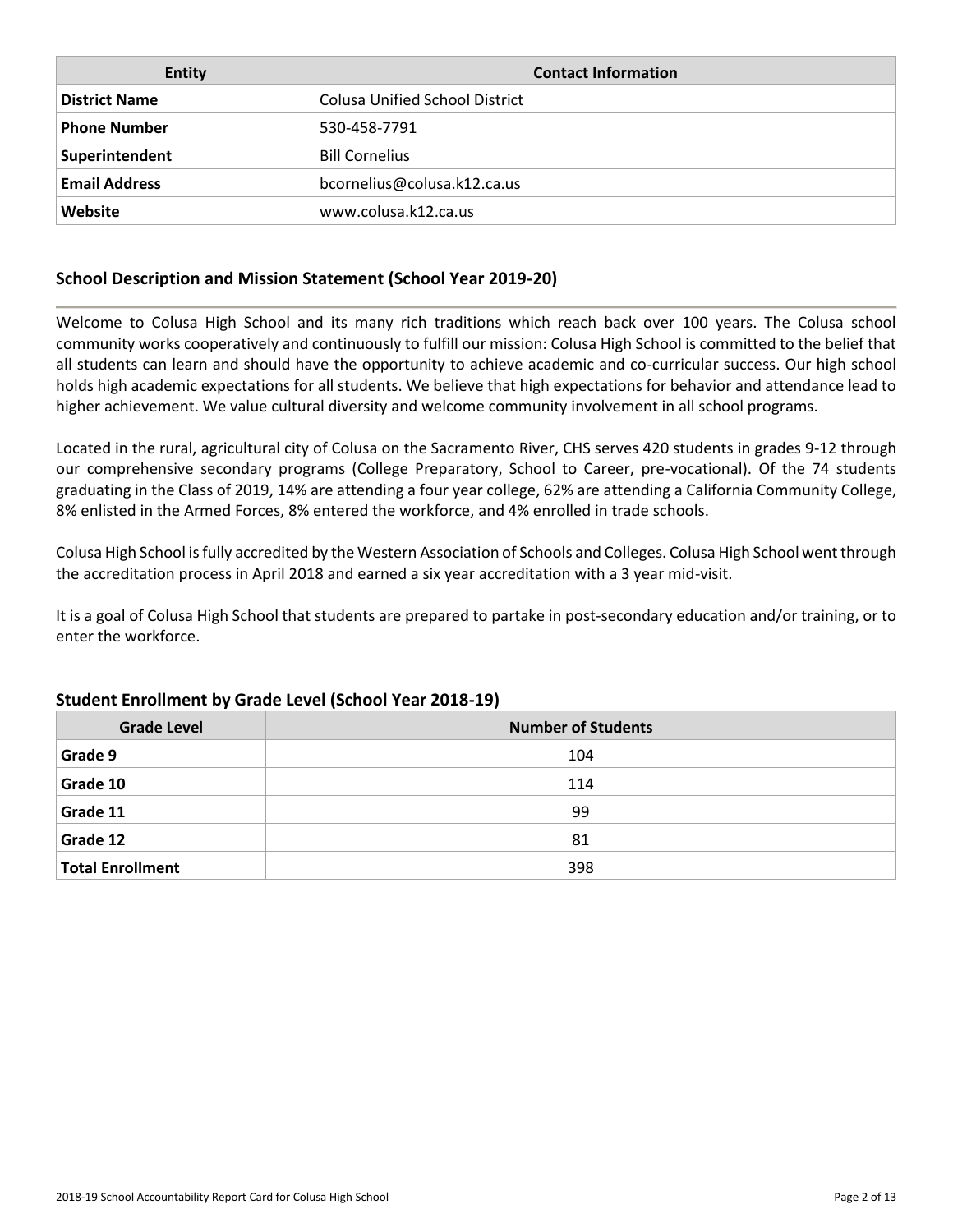| <b>Entity</b>        | <b>Contact Information</b>            |
|----------------------|---------------------------------------|
| <b>District Name</b> | <b>Colusa Unified School District</b> |
| <b>Phone Number</b>  | 530-458-7791                          |
| Superintendent       | <b>Bill Cornelius</b>                 |
| <b>Email Address</b> | bcornelius@colusa.k12.ca.us           |
| Website              | www.colusa.k12.ca.us                  |

#### **School Description and Mission Statement (School Year 2019-20)**

Welcome to Colusa High School and its many rich traditions which reach back over 100 years. The Colusa school community works cooperatively and continuously to fulfill our mission: Colusa High School is committed to the belief that all students can learn and should have the opportunity to achieve academic and co-curricular success. Our high school holds high academic expectations for all students. We believe that high expectations for behavior and attendance lead to higher achievement. We value cultural diversity and welcome community involvement in all school programs.

Located in the rural, agricultural city of Colusa on the Sacramento River, CHS serves 420 students in grades 9-12 through our comprehensive secondary programs (College Preparatory, School to Career, pre-vocational). Of the 74 students graduating in the Class of 2019, 14% are attending a four year college, 62% are attending a California Community College, 8% enlisted in the Armed Forces, 8% entered the workforce, and 4% enrolled in trade schools.

Colusa High School is fully accredited by the Western Association of Schools and Colleges. Colusa High School went through the accreditation process in April 2018 and earned a six year accreditation with a 3 year mid-visit.

It is a goal of Colusa High School that students are prepared to partake in post-secondary education and/or training, or to enter the workforce.

| <b>Grade Level</b>      | <b>Number of Students</b> |
|-------------------------|---------------------------|
| Grade 9                 | 104                       |
| Grade 10                | 114                       |
| Grade 11                | 99                        |
| Grade 12                | 81                        |
| <b>Total Enrollment</b> | 398                       |

#### **Student Enrollment by Grade Level (School Year 2018-19)**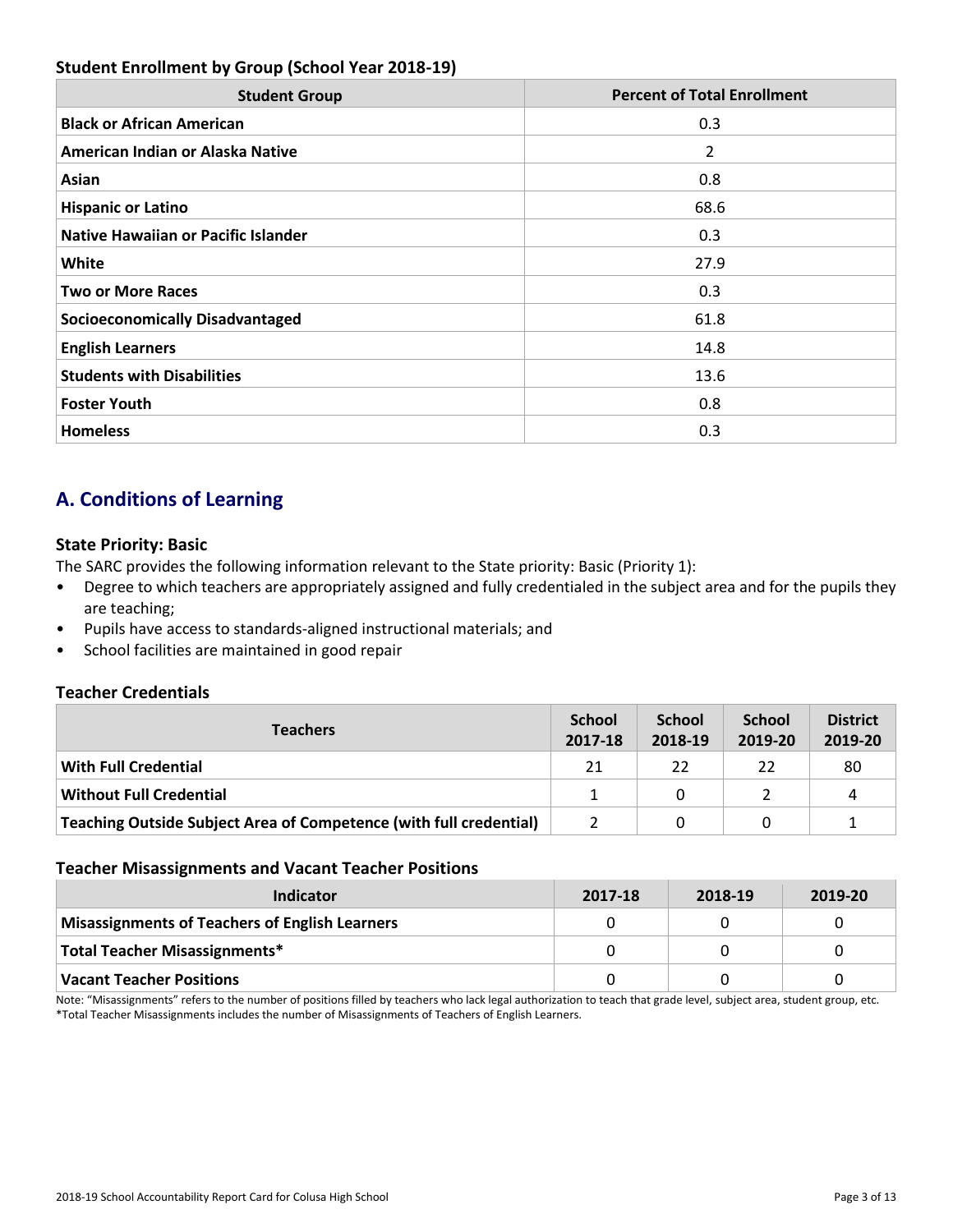#### **Student Enrollment by Group (School Year 2018-19)**

| <b>Student Group</b>                       | <b>Percent of Total Enrollment</b> |
|--------------------------------------------|------------------------------------|
| <b>Black or African American</b>           | 0.3                                |
| American Indian or Alaska Native           | 2                                  |
| Asian                                      | 0.8                                |
| <b>Hispanic or Latino</b>                  | 68.6                               |
| <b>Native Hawaiian or Pacific Islander</b> | 0.3                                |
| White                                      | 27.9                               |
| <b>Two or More Races</b>                   | 0.3                                |
| <b>Socioeconomically Disadvantaged</b>     | 61.8                               |
| <b>English Learners</b>                    | 14.8                               |
| <b>Students with Disabilities</b>          | 13.6                               |
| <b>Foster Youth</b>                        | 0.8                                |
| <b>Homeless</b>                            | 0.3                                |

# **A. Conditions of Learning**

#### **State Priority: Basic**

The SARC provides the following information relevant to the State priority: Basic (Priority 1):

- Degree to which teachers are appropriately assigned and fully credentialed in the subject area and for the pupils they are teaching;
- Pupils have access to standards-aligned instructional materials; and
- School facilities are maintained in good repair

#### **Teacher Credentials**

| <b>Teachers</b>                                                    | <b>School</b><br>2017-18 | <b>School</b><br>2018-19 | <b>School</b><br>2019-20 | <b>District</b><br>2019-20 |
|--------------------------------------------------------------------|--------------------------|--------------------------|--------------------------|----------------------------|
| <b>With Full Credential</b>                                        | 21                       | 22                       | 22                       | 80                         |
| <b>Without Full Credential</b>                                     |                          | 0                        |                          | Δ                          |
| Teaching Outside Subject Area of Competence (with full credential) |                          |                          |                          |                            |

#### **Teacher Misassignments and Vacant Teacher Positions**

| Indicator                                             | 2017-18 | 2018-19 | 2019-20 |
|-------------------------------------------------------|---------|---------|---------|
| <b>Misassignments of Teachers of English Learners</b> |         |         |         |
| Total Teacher Misassignments*                         |         |         |         |
| <b>Vacant Teacher Positions</b>                       |         |         |         |

Note: "Misassignments" refers to the number of positions filled by teachers who lack legal authorization to teach that grade level, subject area, student group, etc. \*Total Teacher Misassignments includes the number of Misassignments of Teachers of English Learners.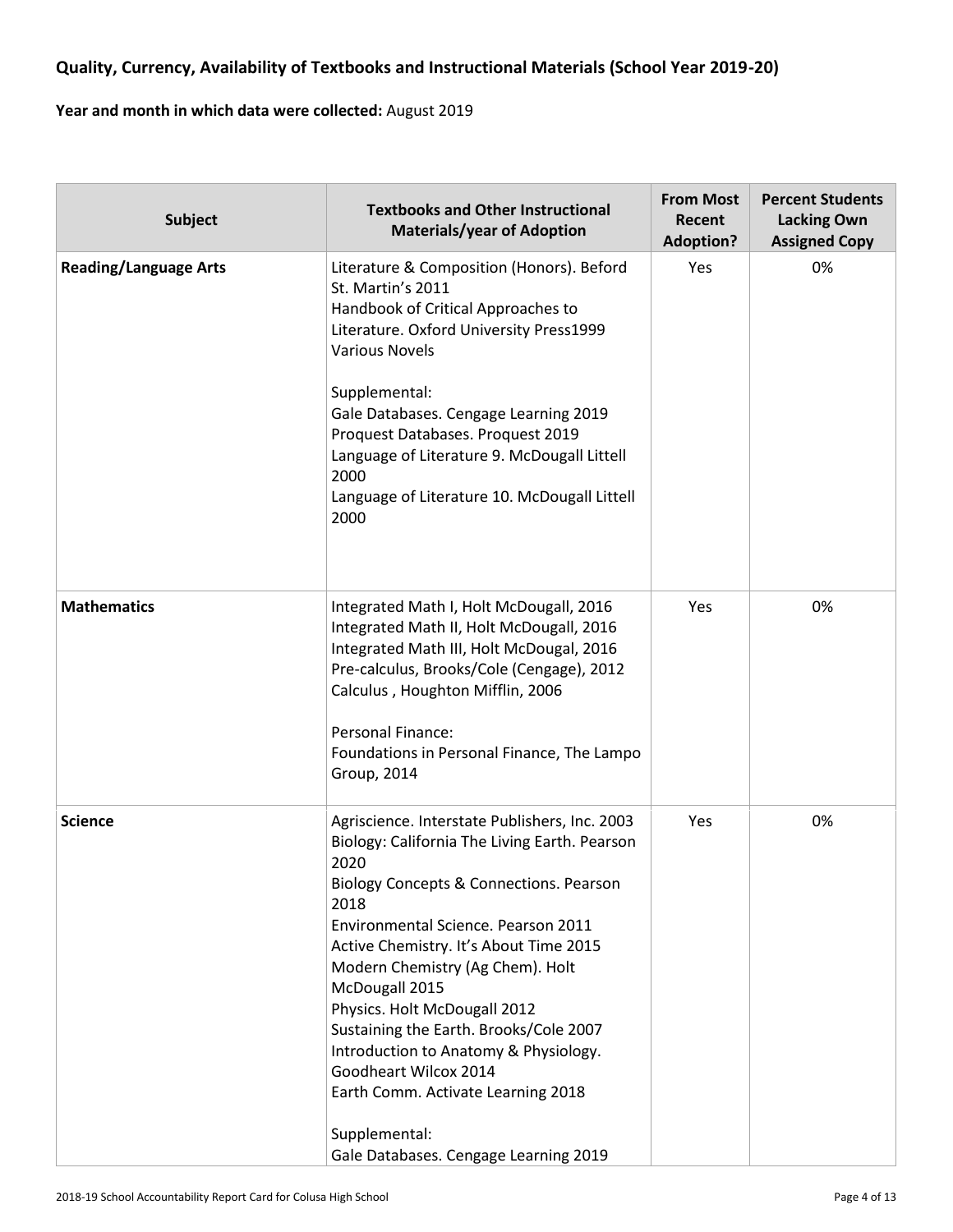# **Quality, Currency, Availability of Textbooks and Instructional Materials (School Year 2019-20)**

#### **Year and month in which data were collected:** August 2019

| <b>Subject</b>               | <b>Textbooks and Other Instructional</b><br><b>Materials/year of Adoption</b>                                                                                                                                                                                                                                                                                                                                                                                                                                                                | <b>From Most</b><br>Recent<br><b>Adoption?</b> | <b>Percent Students</b><br><b>Lacking Own</b><br><b>Assigned Copy</b> |
|------------------------------|----------------------------------------------------------------------------------------------------------------------------------------------------------------------------------------------------------------------------------------------------------------------------------------------------------------------------------------------------------------------------------------------------------------------------------------------------------------------------------------------------------------------------------------------|------------------------------------------------|-----------------------------------------------------------------------|
| <b>Reading/Language Arts</b> | Literature & Composition (Honors). Beford<br>St. Martin's 2011<br>Handbook of Critical Approaches to<br>Literature. Oxford University Press1999<br><b>Various Novels</b><br>Supplemental:<br>Gale Databases. Cengage Learning 2019<br>Proquest Databases. Proquest 2019<br>Language of Literature 9. McDougall Littell<br>2000<br>Language of Literature 10. McDougall Littell<br>2000                                                                                                                                                       | Yes                                            | 0%                                                                    |
| <b>Mathematics</b>           | Integrated Math I, Holt McDougall, 2016<br>Integrated Math II, Holt McDougall, 2016<br>Integrated Math III, Holt McDougal, 2016<br>Pre-calculus, Brooks/Cole (Cengage), 2012<br>Calculus, Houghton Mifflin, 2006<br>Personal Finance:<br>Foundations in Personal Finance, The Lampo<br>Group, 2014                                                                                                                                                                                                                                           | Yes                                            | 0%                                                                    |
| <b>Science</b>               | Agriscience. Interstate Publishers, Inc. 2003<br>Biology: California The Living Earth. Pearson<br>2020<br>Biology Concepts & Connections. Pearson<br>2018<br>Environmental Science. Pearson 2011<br>Active Chemistry. It's About Time 2015<br>Modern Chemistry (Ag Chem). Holt<br>McDougall 2015<br>Physics. Holt McDougall 2012<br>Sustaining the Earth. Brooks/Cole 2007<br>Introduction to Anatomy & Physiology.<br>Goodheart Wilcox 2014<br>Earth Comm. Activate Learning 2018<br>Supplemental:<br>Gale Databases. Cengage Learning 2019 | Yes                                            | 0%                                                                    |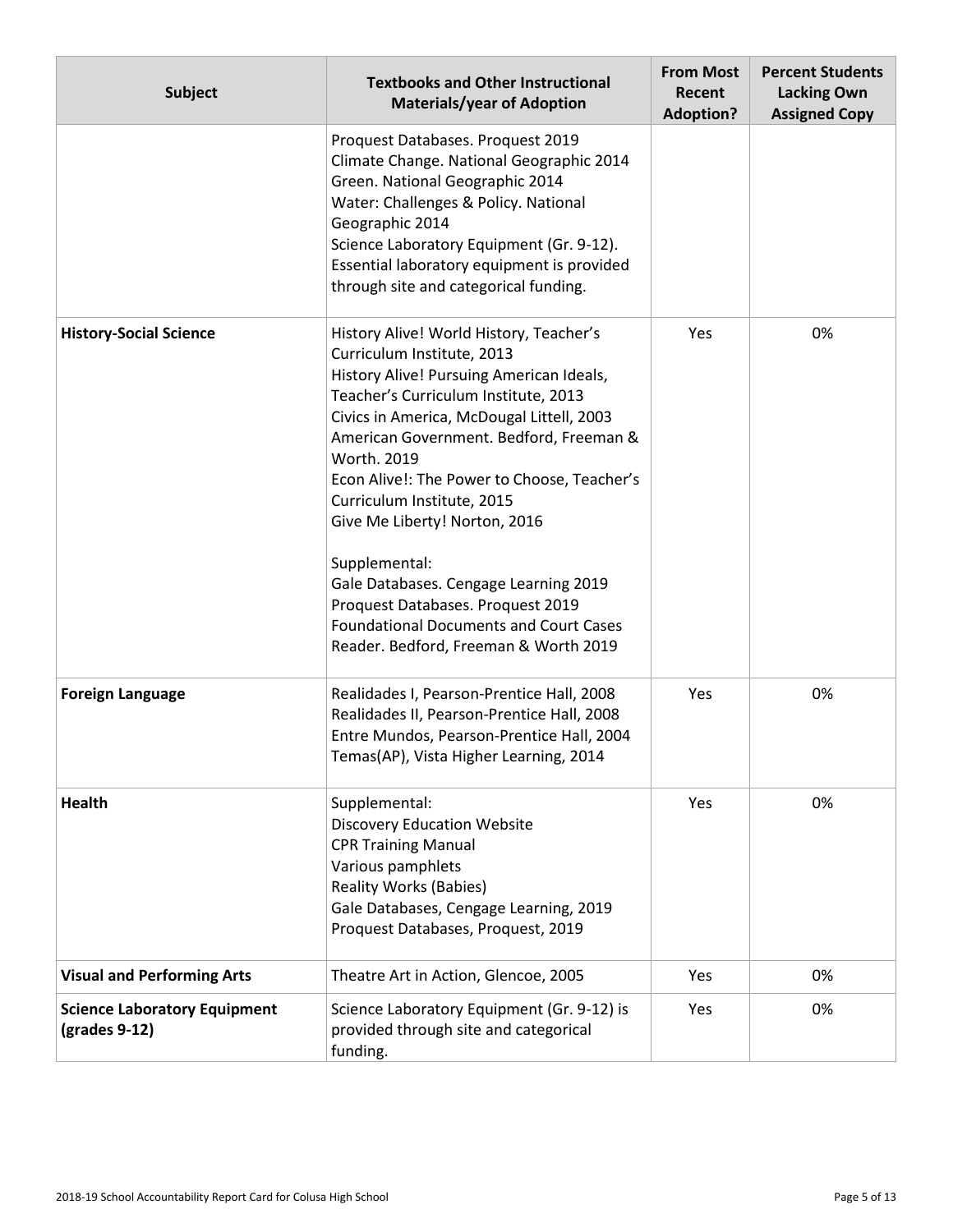| <b>Subject</b>                                                        | <b>Textbooks and Other Instructional</b><br><b>Materials/year of Adoption</b>                                                                                                                                                                                                                                                                                                                                                                                                                                                                                           | <b>From Most</b><br>Recent<br><b>Adoption?</b> | <b>Percent Students</b><br><b>Lacking Own</b><br><b>Assigned Copy</b> |
|-----------------------------------------------------------------------|-------------------------------------------------------------------------------------------------------------------------------------------------------------------------------------------------------------------------------------------------------------------------------------------------------------------------------------------------------------------------------------------------------------------------------------------------------------------------------------------------------------------------------------------------------------------------|------------------------------------------------|-----------------------------------------------------------------------|
|                                                                       | Proquest Databases. Proquest 2019<br>Climate Change. National Geographic 2014<br>Green. National Geographic 2014<br>Water: Challenges & Policy. National<br>Geographic 2014<br>Science Laboratory Equipment (Gr. 9-12).<br>Essential laboratory equipment is provided<br>through site and categorical funding.                                                                                                                                                                                                                                                          |                                                |                                                                       |
| <b>History-Social Science</b>                                         | History Alive! World History, Teacher's<br>Curriculum Institute, 2013<br>History Alive! Pursuing American Ideals,<br>Teacher's Curriculum Institute, 2013<br>Civics in America, McDougal Littell, 2003<br>American Government. Bedford, Freeman &<br>Worth. 2019<br>Econ Alive!: The Power to Choose, Teacher's<br>Curriculum Institute, 2015<br>Give Me Liberty! Norton, 2016<br>Supplemental:<br>Gale Databases. Cengage Learning 2019<br>Proquest Databases. Proquest 2019<br><b>Foundational Documents and Court Cases</b><br>Reader. Bedford, Freeman & Worth 2019 | Yes                                            | 0%                                                                    |
| <b>Foreign Language</b>                                               | Realidades I, Pearson-Prentice Hall, 2008<br>Realidades II, Pearson-Prentice Hall, 2008<br>Entre Mundos, Pearson-Prentice Hall, 2004<br>Temas(AP), Vista Higher Learning, 2014                                                                                                                                                                                                                                                                                                                                                                                          | Yes                                            | 0%                                                                    |
| <b>Health</b>                                                         | Supplemental:<br><b>Discovery Education Website</b><br><b>CPR Training Manual</b><br>Various pamphlets<br><b>Reality Works (Babies)</b><br>Gale Databases, Cengage Learning, 2019<br>Proquest Databases, Proquest, 2019                                                                                                                                                                                                                                                                                                                                                 | Yes                                            | 0%                                                                    |
| <b>Visual and Performing Arts</b>                                     | Theatre Art in Action, Glencoe, 2005                                                                                                                                                                                                                                                                                                                                                                                                                                                                                                                                    | Yes                                            | 0%                                                                    |
| <b>Science Laboratory Equipment</b><br>$\left($ grades 9-12 $\right)$ | Science Laboratory Equipment (Gr. 9-12) is<br>provided through site and categorical<br>funding.                                                                                                                                                                                                                                                                                                                                                                                                                                                                         | Yes                                            | 0%                                                                    |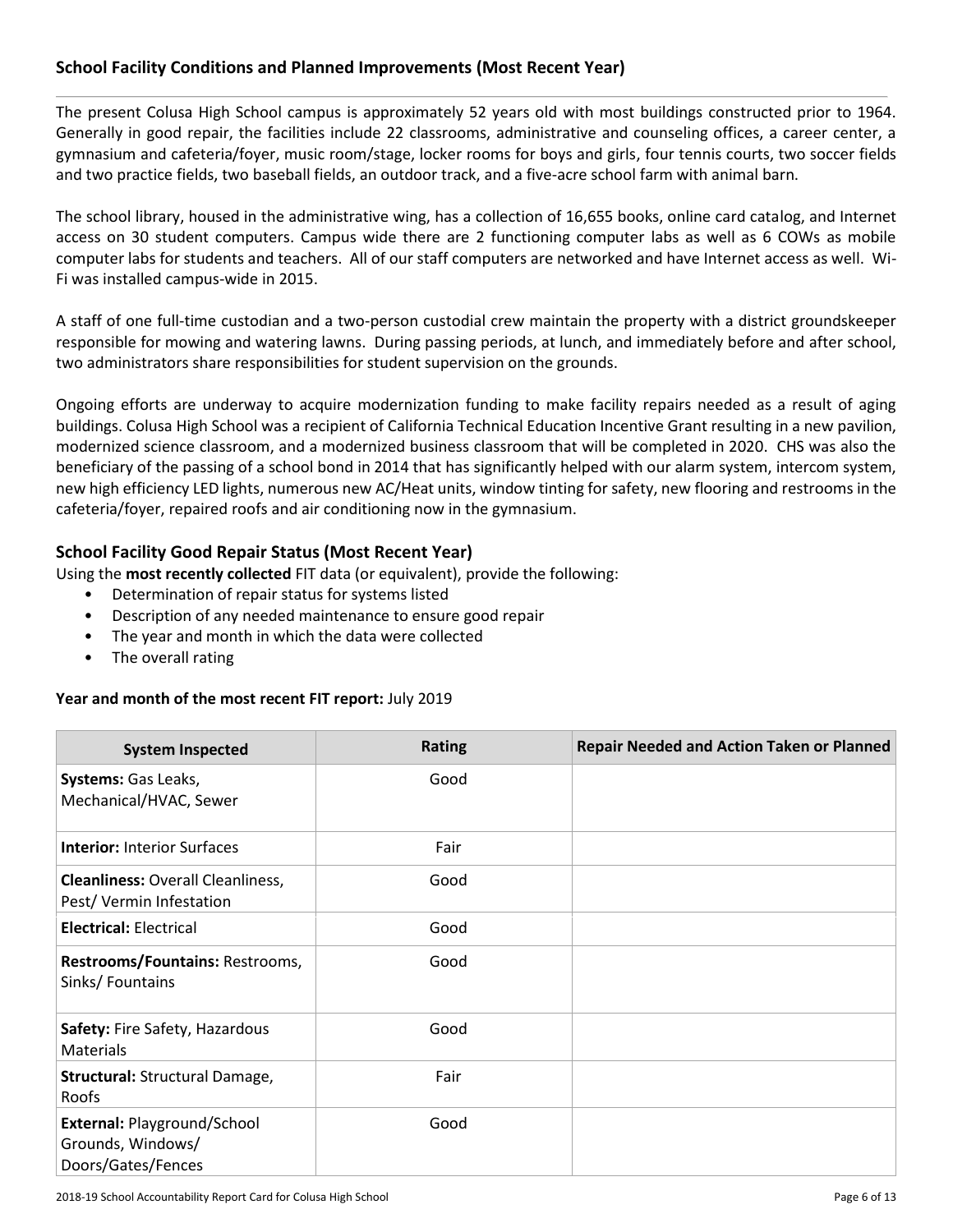#### **School Facility Conditions and Planned Improvements (Most Recent Year)**

The present Colusa High School campus is approximately 52 years old with most buildings constructed prior to 1964. Generally in good repair, the facilities include 22 classrooms, administrative and counseling offices, a career center, a gymnasium and cafeteria/foyer, music room/stage, locker rooms for boys and girls, four tennis courts, two soccer fields and two practice fields, two baseball fields, an outdoor track, and a five-acre school farm with animal barn.

The school library, housed in the administrative wing, has a collection of 16,655 books, online card catalog, and Internet access on 30 student computers. Campus wide there are 2 functioning computer labs as well as 6 COWs as mobile computer labs for students and teachers. All of our staff computers are networked and have Internet access as well. Wi-Fi was installed campus-wide in 2015.

A staff of one full-time custodian and a two-person custodial crew maintain the property with a district groundskeeper responsible for mowing and watering lawns. During passing periods, at lunch, and immediately before and after school, two administrators share responsibilities for student supervision on the grounds.

Ongoing efforts are underway to acquire modernization funding to make facility repairs needed as a result of aging buildings. Colusa High School was a recipient of California Technical Education Incentive Grant resulting in a new pavilion, modernized science classroom, and a modernized business classroom that will be completed in 2020. CHS was also the beneficiary of the passing of a school bond in 2014 that has significantly helped with our alarm system, intercom system, new high efficiency LED lights, numerous new AC/Heat units, window tinting for safety, new flooring and restrooms in the cafeteria/foyer, repaired roofs and air conditioning now in the gymnasium.

#### **School Facility Good Repair Status (Most Recent Year)**

Using the **most recently collected** FIT data (or equivalent), provide the following:

- Determination of repair status for systems listed
- Description of any needed maintenance to ensure good repair
- The year and month in which the data were collected
- The overall rating

#### **Year and month of the most recent FIT report:** July 2019

| <b>System Inspected</b>                                                | <b>Rating</b> | <b>Repair Needed and Action Taken or Planned</b> |
|------------------------------------------------------------------------|---------------|--------------------------------------------------|
| Systems: Gas Leaks,<br>Mechanical/HVAC, Sewer                          | Good          |                                                  |
| <b>Interior: Interior Surfaces</b>                                     | Fair          |                                                  |
| <b>Cleanliness: Overall Cleanliness,</b><br>Pest/Vermin Infestation    | Good          |                                                  |
| <b>Electrical: Electrical</b>                                          | Good          |                                                  |
| Restrooms/Fountains: Restrooms,<br>Sinks/Fountains                     | Good          |                                                  |
| Safety: Fire Safety, Hazardous<br><b>Materials</b>                     | Good          |                                                  |
| Structural: Structural Damage,<br>Roofs                                | Fair          |                                                  |
| External: Playground/School<br>Grounds, Windows/<br>Doors/Gates/Fences | Good          |                                                  |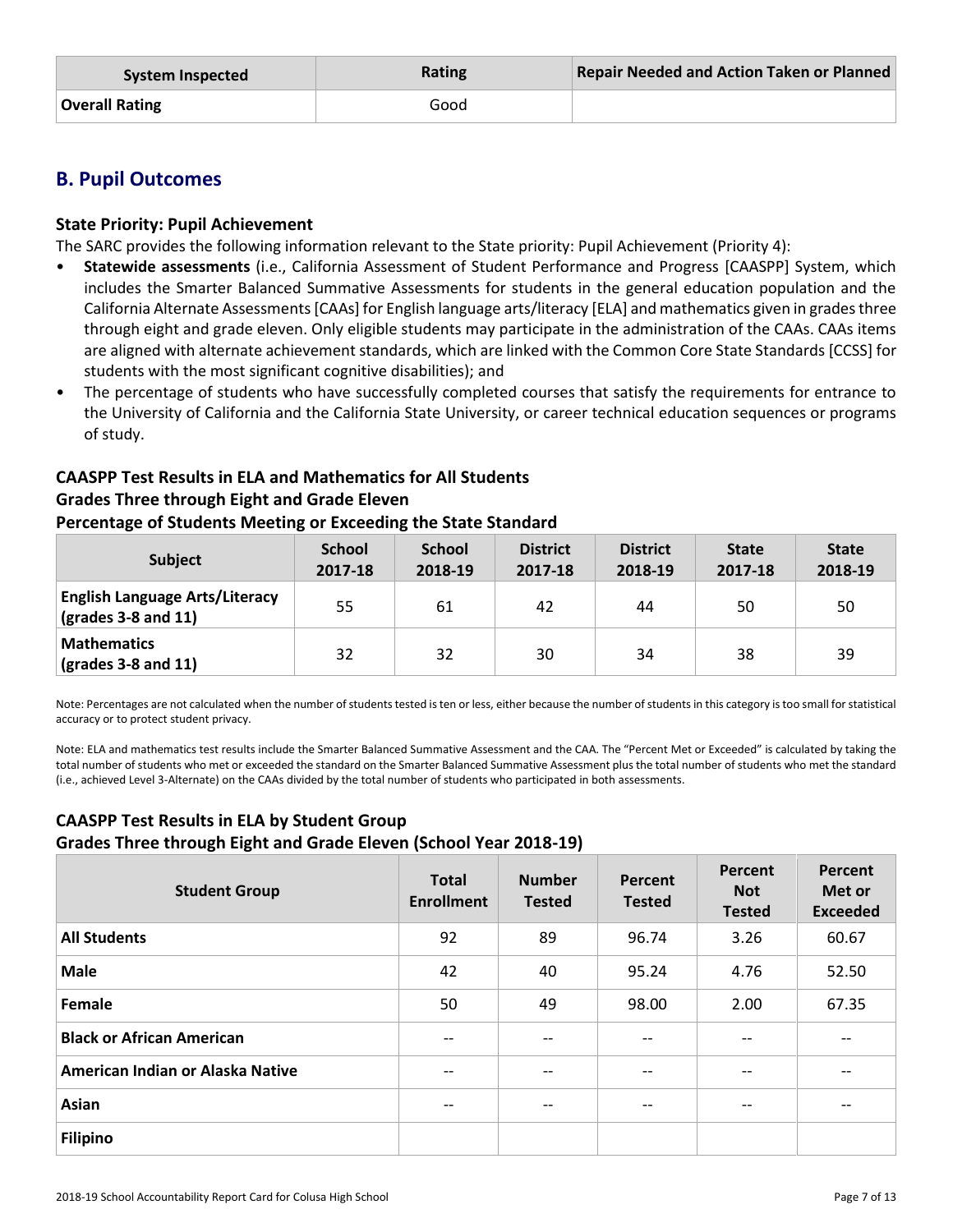| System Inspected | Rating | <b>Repair Needed and Action Taken or Planned</b> |
|------------------|--------|--------------------------------------------------|
| Overall Rating   | Good   |                                                  |

# **B. Pupil Outcomes**

#### **State Priority: Pupil Achievement**

The SARC provides the following information relevant to the State priority: Pupil Achievement (Priority 4):

- **Statewide assessments** (i.e., California Assessment of Student Performance and Progress [CAASPP] System, which includes the Smarter Balanced Summative Assessments for students in the general education population and the California Alternate Assessments [CAAs] for English language arts/literacy [ELA] and mathematics given in grades three through eight and grade eleven. Only eligible students may participate in the administration of the CAAs. CAAs items are aligned with alternate achievement standards, which are linked with the Common Core State Standards [CCSS] for students with the most significant cognitive disabilities); and
- The percentage of students who have successfully completed courses that satisfy the requirements for entrance to the University of California and the California State University, or career technical education sequences or programs of study.

#### **CAASPP Test Results in ELA and Mathematics for All Students Grades Three through Eight and Grade Eleven**

#### **Percentage of Students Meeting or Exceeding the State Standard**

| <b>Subject</b>                                                                | <b>School</b><br>2017-18 | <b>School</b><br>2018-19 | <b>District</b><br>2017-18 | <b>District</b><br>2018-19 | <b>State</b><br>2017-18 | <b>State</b><br>2018-19 |
|-------------------------------------------------------------------------------|--------------------------|--------------------------|----------------------------|----------------------------|-------------------------|-------------------------|
| <b>English Language Arts/Literacy</b><br>$\left($ grades 3-8 and 11 $\right)$ | 55                       | 61                       | 42                         | 44                         | 50                      | 50                      |
| <b>Mathematics</b><br>$\vert$ (grades 3-8 and 11)                             | 32                       | 32                       | 30                         | 34                         | 38                      | 39                      |

Note: Percentages are not calculated when the number of students tested is ten or less, either because the number of students in this category is too small for statistical accuracy or to protect student privacy.

Note: ELA and mathematics test results include the Smarter Balanced Summative Assessment and the CAA. The "Percent Met or Exceeded" is calculated by taking the total number of students who met or exceeded the standard on the Smarter Balanced Summative Assessment plus the total number of students who met the standard (i.e., achieved Level 3-Alternate) on the CAAs divided by the total number of students who participated in both assessments.

## **CAASPP Test Results in ELA by Student Group Grades Three through Eight and Grade Eleven (School Year 2018-19)**

| <b>Student Group</b>             | <b>Total</b><br><b>Enrollment</b> | <b>Number</b><br><b>Tested</b> | Percent<br><b>Tested</b> | Percent<br><b>Not</b><br><b>Tested</b> | Percent<br>Met or<br><b>Exceeded</b> |
|----------------------------------|-----------------------------------|--------------------------------|--------------------------|----------------------------------------|--------------------------------------|
| <b>All Students</b>              | 92                                | 89                             | 96.74                    | 3.26                                   | 60.67                                |
| <b>Male</b>                      | 42                                | 40                             | 95.24                    | 4.76                                   | 52.50                                |
| Female                           | 50                                | 49                             | 98.00                    | 2.00                                   | 67.35                                |
| <b>Black or African American</b> | $\qquad \qquad -$                 | $\overline{\phantom{m}}$       | $\qquad \qquad -$        | --                                     | $\overline{\phantom{a}}$             |
| American Indian or Alaska Native | $- -$                             | $- -$                          | $- -$                    | --                                     | $- -$                                |
| Asian                            | $- -$                             | $- -$                          | $- -$                    | --                                     | $- -$                                |
| <b>Filipino</b>                  |                                   |                                |                          |                                        |                                      |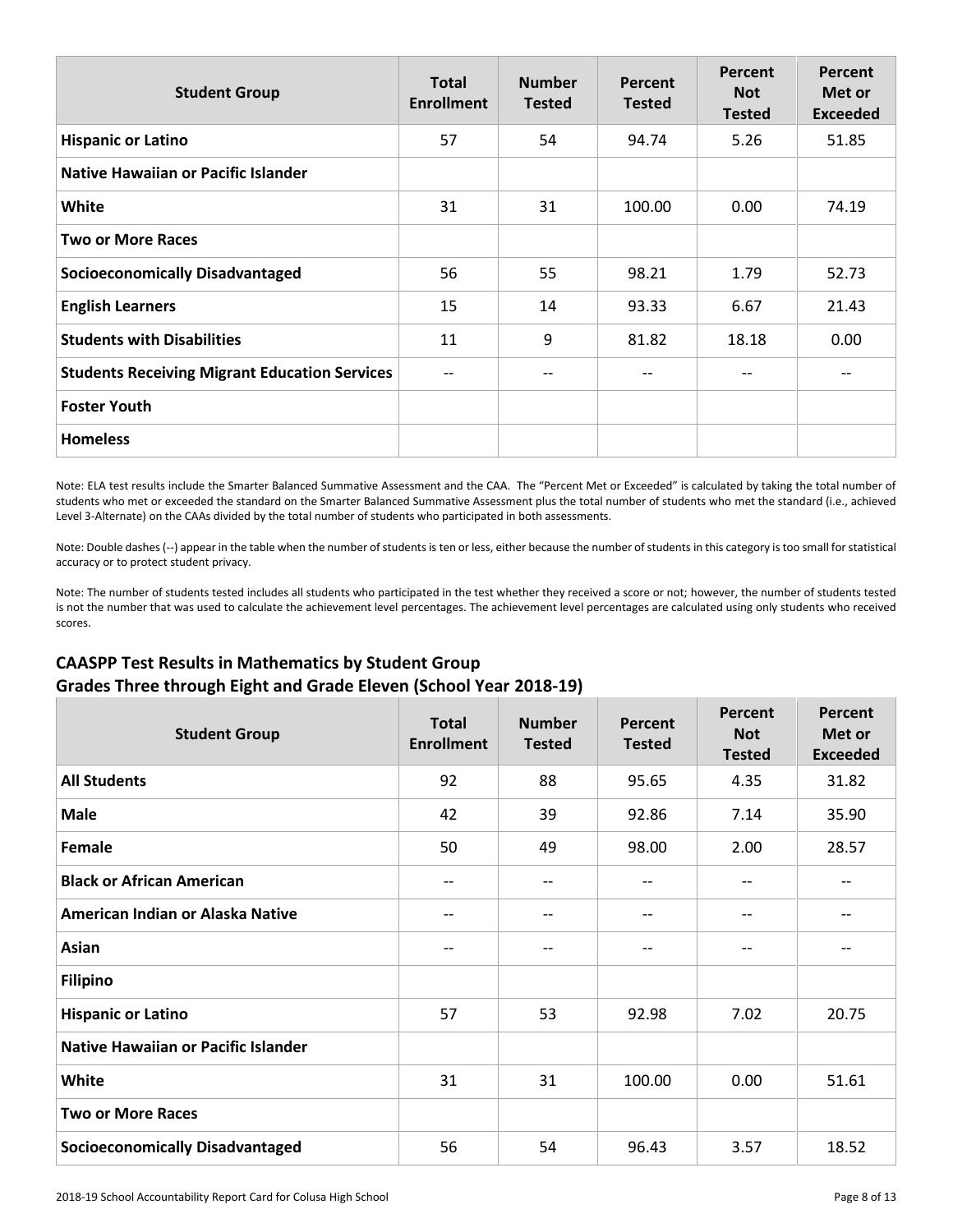| <b>Student Group</b>                                 | <b>Total</b><br><b>Enrollment</b> | <b>Number</b><br><b>Tested</b> | Percent<br><b>Tested</b> | Percent<br><b>Not</b><br><b>Tested</b> | Percent<br>Met or<br><b>Exceeded</b> |
|------------------------------------------------------|-----------------------------------|--------------------------------|--------------------------|----------------------------------------|--------------------------------------|
| <b>Hispanic or Latino</b>                            | 57                                | 54                             | 94.74                    | 5.26                                   | 51.85                                |
| <b>Native Hawaiian or Pacific Islander</b>           |                                   |                                |                          |                                        |                                      |
| White                                                | 31                                | 31                             | 100.00                   | 0.00                                   | 74.19                                |
| <b>Two or More Races</b>                             |                                   |                                |                          |                                        |                                      |
| <b>Socioeconomically Disadvantaged</b>               | 56                                | 55                             | 98.21                    | 1.79                                   | 52.73                                |
| <b>English Learners</b>                              | 15                                | 14                             | 93.33                    | 6.67                                   | 21.43                                |
| <b>Students with Disabilities</b>                    | 11                                | 9                              | 81.82                    | 18.18                                  | 0.00                                 |
| <b>Students Receiving Migrant Education Services</b> | $\qquad \qquad -$                 |                                | --                       |                                        |                                      |
| <b>Foster Youth</b>                                  |                                   |                                |                          |                                        |                                      |
| <b>Homeless</b>                                      |                                   |                                |                          |                                        |                                      |

Note: ELA test results include the Smarter Balanced Summative Assessment and the CAA. The "Percent Met or Exceeded" is calculated by taking the total number of students who met or exceeded the standard on the Smarter Balanced Summative Assessment plus the total number of students who met the standard (i.e., achieved Level 3-Alternate) on the CAAs divided by the total number of students who participated in both assessments.

Note: Double dashes (--) appear in the table when the number of students is ten or less, either because the number of students in this category is too small for statistical accuracy or to protect student privacy.

Note: The number of students tested includes all students who participated in the test whether they received a score or not; however, the number of students tested is not the number that was used to calculate the achievement level percentages. The achievement level percentages are calculated using only students who received scores.

#### **CAASPP Test Results in Mathematics by Student Group Grades Three through Eight and Grade Eleven (School Year 2018-19)**

| <b>Student Group</b>                       | <b>Total</b><br><b>Enrollment</b> | <b>Number</b><br><b>Tested</b> | Percent<br><b>Tested</b> | Percent<br><b>Not</b><br><b>Tested</b> | <b>Percent</b><br>Met or<br><b>Exceeded</b> |
|--------------------------------------------|-----------------------------------|--------------------------------|--------------------------|----------------------------------------|---------------------------------------------|
| <b>All Students</b>                        | 92                                | 88                             | 95.65                    | 4.35                                   | 31.82                                       |
| <b>Male</b>                                | 42                                | 39                             | 92.86                    | 7.14                                   | 35.90                                       |
| Female                                     | 50                                | 49                             | 98.00                    | 2.00                                   | 28.57                                       |
| <b>Black or African American</b>           | $-$                               | $- -$                          | $\qquad \qquad -$        | $-$                                    | $-$                                         |
| American Indian or Alaska Native           | --                                | $- -$                          | $\overline{\phantom{a}}$ | $-$                                    |                                             |
| Asian                                      | $-$                               | $-$                            | $\qquad \qquad -$        | $-$                                    | --                                          |
| <b>Filipino</b>                            |                                   |                                |                          |                                        |                                             |
| <b>Hispanic or Latino</b>                  | 57                                | 53                             | 92.98                    | 7.02                                   | 20.75                                       |
| <b>Native Hawaiian or Pacific Islander</b> |                                   |                                |                          |                                        |                                             |
| White                                      | 31                                | 31                             | 100.00                   | 0.00                                   | 51.61                                       |
| <b>Two or More Races</b>                   |                                   |                                |                          |                                        |                                             |
| <b>Socioeconomically Disadvantaged</b>     | 56                                | 54                             | 96.43                    | 3.57                                   | 18.52                                       |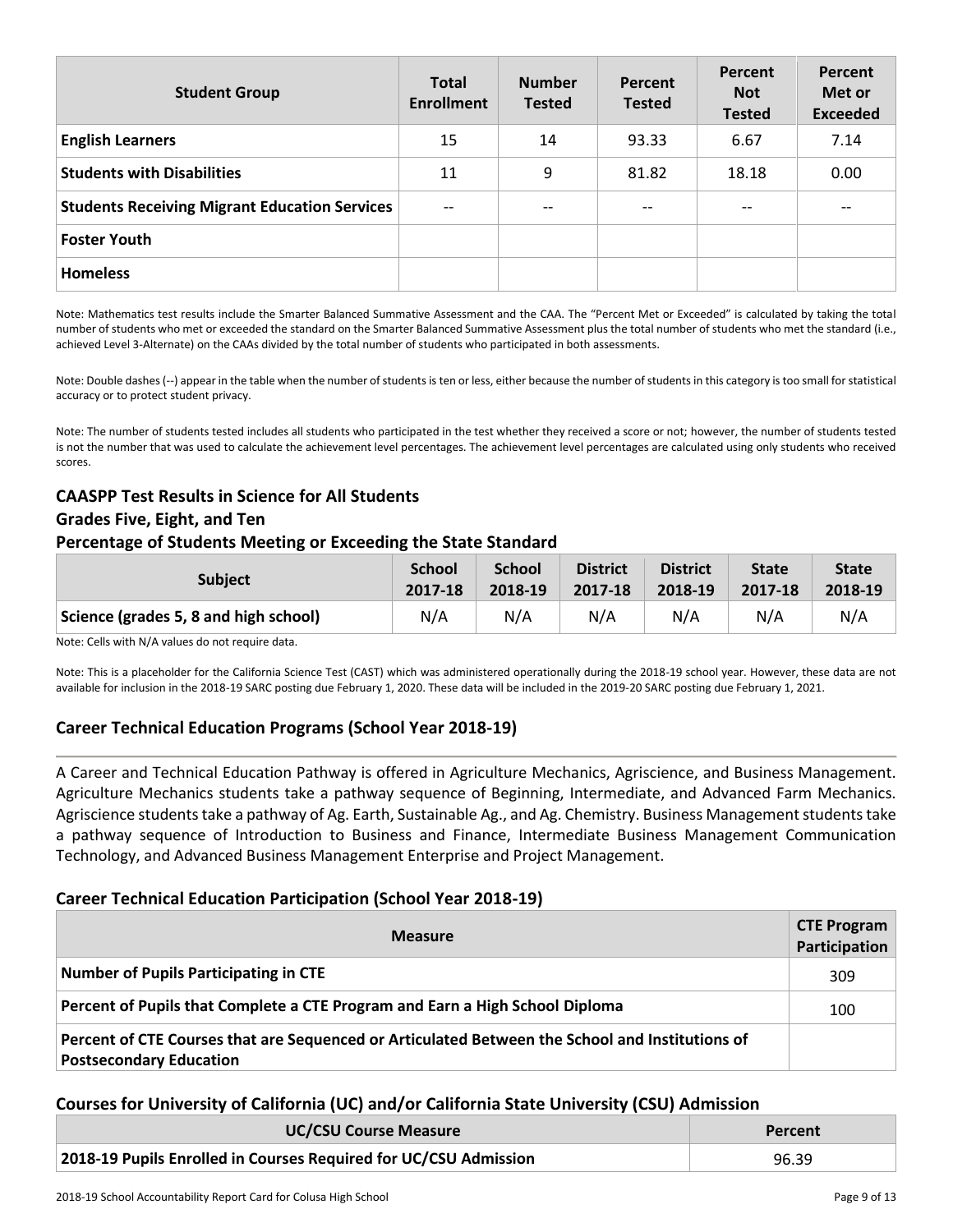| <b>Student Group</b>                                 | <b>Total</b><br><b>Enrollment</b> | <b>Number</b><br><b>Tested</b> | <b>Percent</b><br><b>Tested</b>                     | Percent<br><b>Not</b><br><b>Tested</b> | Percent<br>Met or<br><b>Exceeded</b> |
|------------------------------------------------------|-----------------------------------|--------------------------------|-----------------------------------------------------|----------------------------------------|--------------------------------------|
| <b>English Learners</b>                              | 15                                | 14                             | 93.33                                               | 6.67                                   | 7.14                                 |
| <b>Students with Disabilities</b>                    | 11                                | 9                              | 81.82                                               | 18.18                                  | 0.00                                 |
| <b>Students Receiving Migrant Education Services</b> | $-$                               | $- -$                          | $\hspace{0.05cm} -\hspace{0.05cm} -\hspace{0.05cm}$ | --                                     | $- -$                                |
| <b>Foster Youth</b>                                  |                                   |                                |                                                     |                                        |                                      |
| <b>Homeless</b>                                      |                                   |                                |                                                     |                                        |                                      |

Note: Mathematics test results include the Smarter Balanced Summative Assessment and the CAA. The "Percent Met or Exceeded" is calculated by taking the total number of students who met or exceeded the standard on the Smarter Balanced Summative Assessment plus the total number of students who met the standard (i.e., achieved Level 3-Alternate) on the CAAs divided by the total number of students who participated in both assessments.

Note: Double dashes (--) appear in the table when the number of students is ten or less, either because the number of students in this category is too small for statistical accuracy or to protect student privacy.

Note: The number of students tested includes all students who participated in the test whether they received a score or not; however, the number of students tested is not the number that was used to calculate the achievement level percentages. The achievement level percentages are calculated using only students who received scores.

#### **CAASPP Test Results in Science for All Students Grades Five, Eight, and Ten Percentage of Students Meeting or Exceeding the State Standard**

| <b>Subject</b>                        | <b>School</b> | <b>School</b> | <b>District</b> | <b>District</b> | <b>State</b> | <b>State</b> |
|---------------------------------------|---------------|---------------|-----------------|-----------------|--------------|--------------|
|                                       | 2017-18       | 2018-19       | 2017-18         | 2018-19         | 2017-18      | 2018-19      |
| Science (grades 5, 8 and high school) | N/A           | N/A           | N/A             | N/A             | N/A          | N/A          |

Note: Cells with N/A values do not require data.

Note: This is a placeholder for the California Science Test (CAST) which was administered operationally during the 2018-19 school year. However, these data are not available for inclusion in the 2018-19 SARC posting due February 1, 2020. These data will be included in the 2019-20 SARC posting due February 1, 2021.

### **Career Technical Education Programs (School Year 2018-19)**

A Career and Technical Education Pathway is offered in Agriculture Mechanics, Agriscience, and Business Management. Agriculture Mechanics students take a pathway sequence of Beginning, Intermediate, and Advanced Farm Mechanics. Agriscience students take a pathway of Ag. Earth, Sustainable Ag., and Ag. Chemistry. Business Management students take a pathway sequence of Introduction to Business and Finance, Intermediate Business Management Communication Technology, and Advanced Business Management Enterprise and Project Management.

#### **Career Technical Education Participation (School Year 2018-19)**

| <b>Measure</b>                                                                                                                    | <b>CTE Program</b><br>Participation |
|-----------------------------------------------------------------------------------------------------------------------------------|-------------------------------------|
| <b>Number of Pupils Participating in CTE</b>                                                                                      | 309                                 |
| Percent of Pupils that Complete a CTE Program and Earn a High School Diploma                                                      | 100                                 |
| Percent of CTE Courses that are Sequenced or Articulated Between the School and Institutions of<br><b>Postsecondary Education</b> |                                     |

#### **Courses for University of California (UC) and/or California State University (CSU) Admission**

| <b>UC/CSU Course Measure</b>                                     | Percent |
|------------------------------------------------------------------|---------|
| 2018-19 Pupils Enrolled in Courses Required for UC/CSU Admission | 96.39   |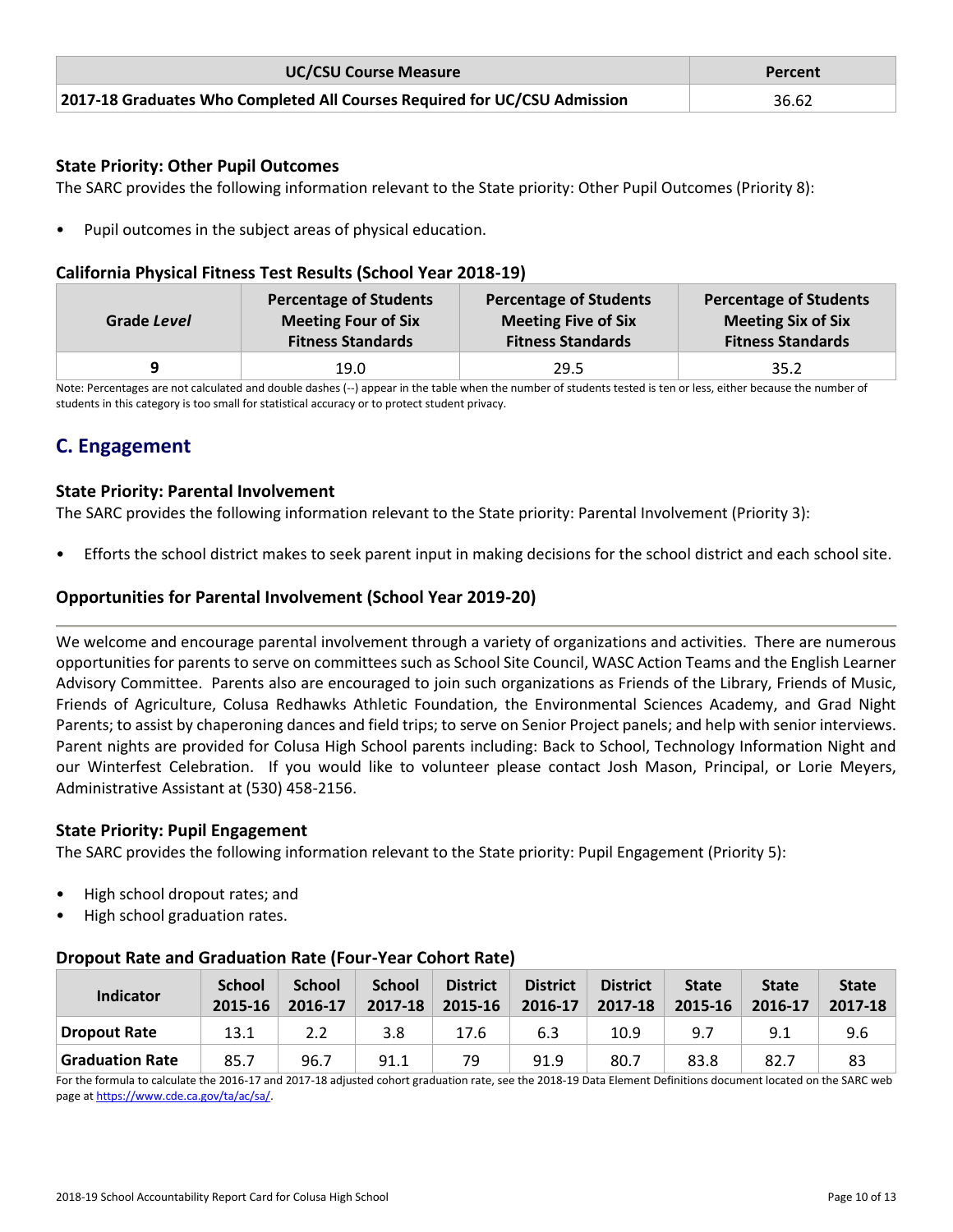| <b>UC/CSU Course Measure</b>                                              | Percent |
|---------------------------------------------------------------------------|---------|
| 2017-18 Graduates Who Completed All Courses Required for UC/CSU Admission | 36.62   |

#### **State Priority: Other Pupil Outcomes**

The SARC provides the following information relevant to the State priority: Other Pupil Outcomes (Priority 8):

Pupil outcomes in the subject areas of physical education.

#### **California Physical Fitness Test Results (School Year 2018-19)**

| Grade Level | <b>Percentage of Students</b> | <b>Percentage of Students</b> | <b>Percentage of Students</b> |
|-------------|-------------------------------|-------------------------------|-------------------------------|
|             | <b>Meeting Four of Six</b>    | <b>Meeting Five of Six</b>    | <b>Meeting Six of Six</b>     |
|             | <b>Fitness Standards</b>      | <b>Fitness Standards</b>      | <b>Fitness Standards</b>      |
|             | 19.0                          | 29.5                          | 35.2                          |

Note: Percentages are not calculated and double dashes (--) appear in the table when the number of students tested is ten or less, either because the number of students in this category is too small for statistical accuracy or to protect student privacy.

# **C. Engagement**

#### **State Priority: Parental Involvement**

The SARC provides the following information relevant to the State priority: Parental Involvement (Priority 3):

• Efforts the school district makes to seek parent input in making decisions for the school district and each school site.

#### **Opportunities for Parental Involvement (School Year 2019-20)**

We welcome and encourage parental involvement through a variety of organizations and activities. There are numerous opportunities for parents to serve on committees such as School Site Council, WASC Action Teams and the English Learner Advisory Committee. Parents also are encouraged to join such organizations as Friends of the Library, Friends of Music, Friends of Agriculture, Colusa Redhawks Athletic Foundation, the Environmental Sciences Academy, and Grad Night Parents; to assist by chaperoning dances and field trips; to serve on Senior Project panels; and help with senior interviews. Parent nights are provided for Colusa High School parents including: Back to School, Technology Information Night and our Winterfest Celebration. If you would like to volunteer please contact Josh Mason, Principal, or Lorie Meyers, Administrative Assistant at (530) 458-2156.

#### **State Priority: Pupil Engagement**

The SARC provides the following information relevant to the State priority: Pupil Engagement (Priority 5):

- High school dropout rates; and
- High school graduation rates.

#### **Dropout Rate and Graduation Rate (Four-Year Cohort Rate)**

| <b>Indicator</b> | <b>School</b><br>2015-16 | <b>School</b><br>2016-17 | <b>School</b><br>2017-18 | <b>District</b><br>2015-16 | <b>District</b><br>2016-17 | <b>District</b><br>2017-18 | <b>State</b><br>2015-16 | <b>State</b><br>2016-17 | <b>State</b><br>2017-18 |
|------------------|--------------------------|--------------------------|--------------------------|----------------------------|----------------------------|----------------------------|-------------------------|-------------------------|-------------------------|
| Dropout Rate     | 13.1                     |                          | 3.8                      | 17.6                       | 6.3                        | 10.9                       | 9.7                     | 9.1                     | 9.6                     |
| Graduation Rate  | 85.7                     | 96.7                     | 91.1                     | 79                         | 91.9                       | 80.7                       | 83.8                    | 82.7                    | 83                      |

For the formula to calculate the 2016-17 and 2017-18 adjusted cohort graduation rate, see the 2018-19 Data Element Definitions document located on the SARC web page a[t https://www.cde.ca.gov/ta/ac/sa/.](https://www.cde.ca.gov/ta/ac/sa/)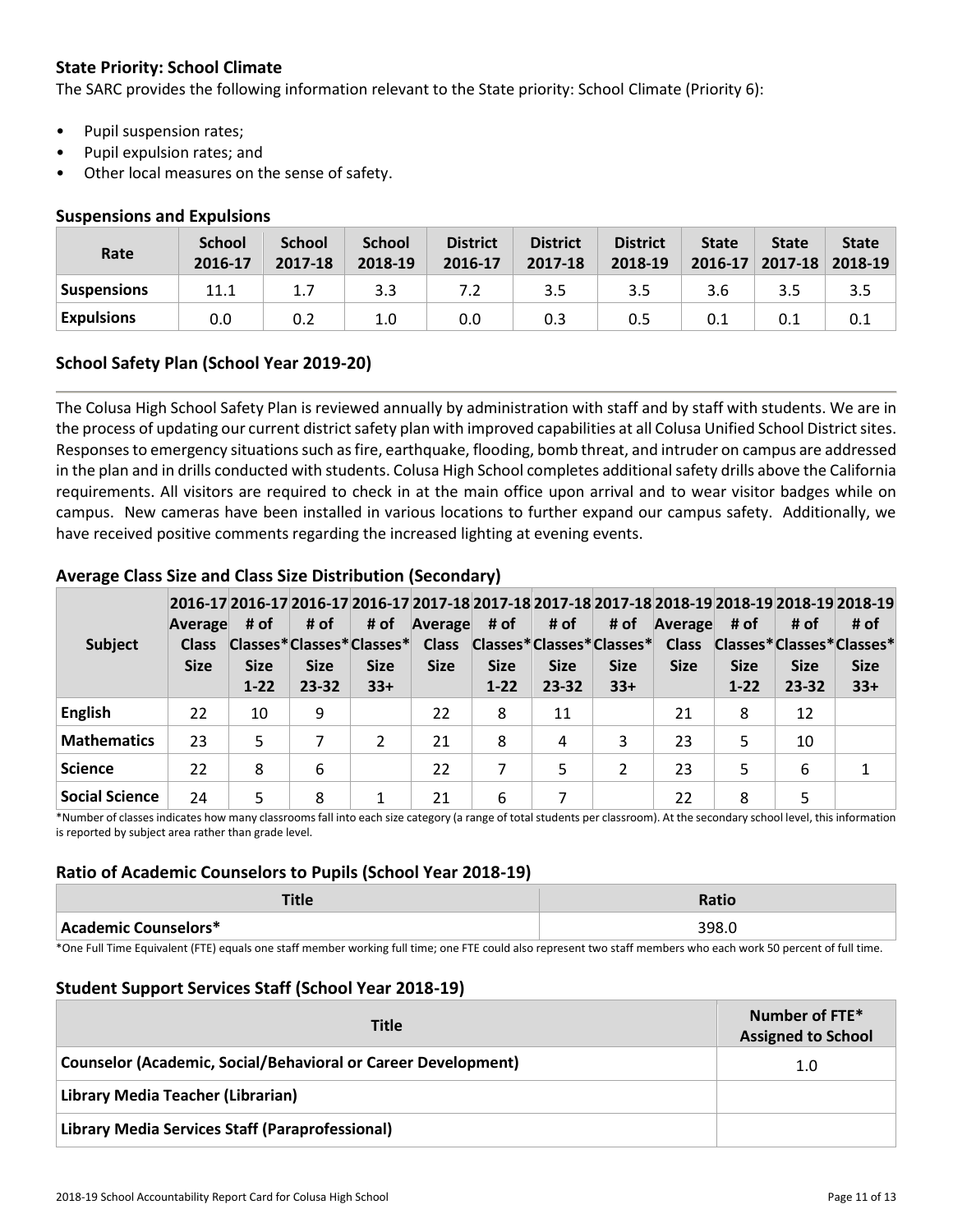#### **State Priority: School Climate**

The SARC provides the following information relevant to the State priority: School Climate (Priority 6):

- Pupil suspension rates;
- Pupil expulsion rates; and
- Other local measures on the sense of safety.

#### **Suspensions and Expulsions**

| Rate               | <b>School</b><br>2016-17 | <b>School</b><br>2017-18 | <b>School</b><br>2018-19 | <b>District</b><br>2016-17 | <b>District</b><br>2017-18 | <b>District</b><br>2018-19 | <b>State</b><br>2016-17 | <b>State</b><br>$2017 - 18$ | <b>State</b><br>2018-19 |
|--------------------|--------------------------|--------------------------|--------------------------|----------------------------|----------------------------|----------------------------|-------------------------|-----------------------------|-------------------------|
| <b>Suspensions</b> | 11.1                     |                          | 3.3                      |                            | 3.5                        | 3.5                        | 3.6                     | 3.5                         | 3.5                     |
| <b>Expulsions</b>  | 0.0                      |                          | 1.0                      | 0.0                        | 0.3                        | 0.5                        |                         |                             |                         |

#### **School Safety Plan (School Year 2019-20)**

The Colusa High School Safety Plan is reviewed annually by administration with staff and by staff with students. We are in the process of updating our current district safety plan with improved capabilities at all Colusa Unified School District sites. Responses to emergency situations such as fire, earthquake, flooding, bomb threat, and intruder on campus are addressed in the plan and in drills conducted with students. Colusa High School completes additional safety drills above the California requirements. All visitors are required to check in at the main office upon arrival and to wear visitor badges while on campus. New cameras have been installed in various locations to further expand our campus safety. Additionally, we have received positive comments regarding the increased lighting at evening events.

#### **Subject 2016-17 2016-17 2016-17 2016-17 2017-18 2017-18 2017-18 2017-18 2018-19 2018-19 2018-19 2018-19 Average Class Classes\* Classes\* Classes\* Size # of Size 1-22 # of Size 23-32 # of Size 33+ Average Class Classes\* Classes\* Classes\* Size # of Size 1-22 # of Size 23-32 # of Size 33+ Average Class Size # of Classes\* Classes\* Classes\* Size 1-22 # of Size 23-32 # of Size 33+ English** 22 10 9 22 8 11 21 8 12 **Mathematics** | 23 | 5 | 7 | 2 | 21 | 8 | 4 | 3 | 23 | 5 | 10 **Science** | 22 | 8 | 6 | | 22 | 7 | 5 | 2 | 23 | 5 | 6 | 1 **Social Science** | 24 | 5 | 8 | 1 | 21 | 6 | 7 | | 22 | 8 | 5

#### **Average Class Size and Class Size Distribution (Secondary)**

\*Number of classes indicates how many classrooms fall into each size category (a range of total students per classroom). At the secondary school level, this information is reported by subject area rather than grade level.

#### **Ratio of Academic Counselors to Pupils (School Year 2018-19)**

| - 1<br>. <del>.</del> | Ratio |
|-----------------------|-------|
| Academic Counselors*  | 398.C |

\*One Full Time Equivalent (FTE) equals one staff member working full time; one FTE could also represent two staff members who each work 50 percent of full time.

#### **Student Support Services Staff (School Year 2018-19)**

| <b>Title</b>                                                  | Number of FTE*<br><b>Assigned to School</b> |
|---------------------------------------------------------------|---------------------------------------------|
| Counselor (Academic, Social/Behavioral or Career Development) | 1.0                                         |
| Library Media Teacher (Librarian)                             |                                             |
| Library Media Services Staff (Paraprofessional)               |                                             |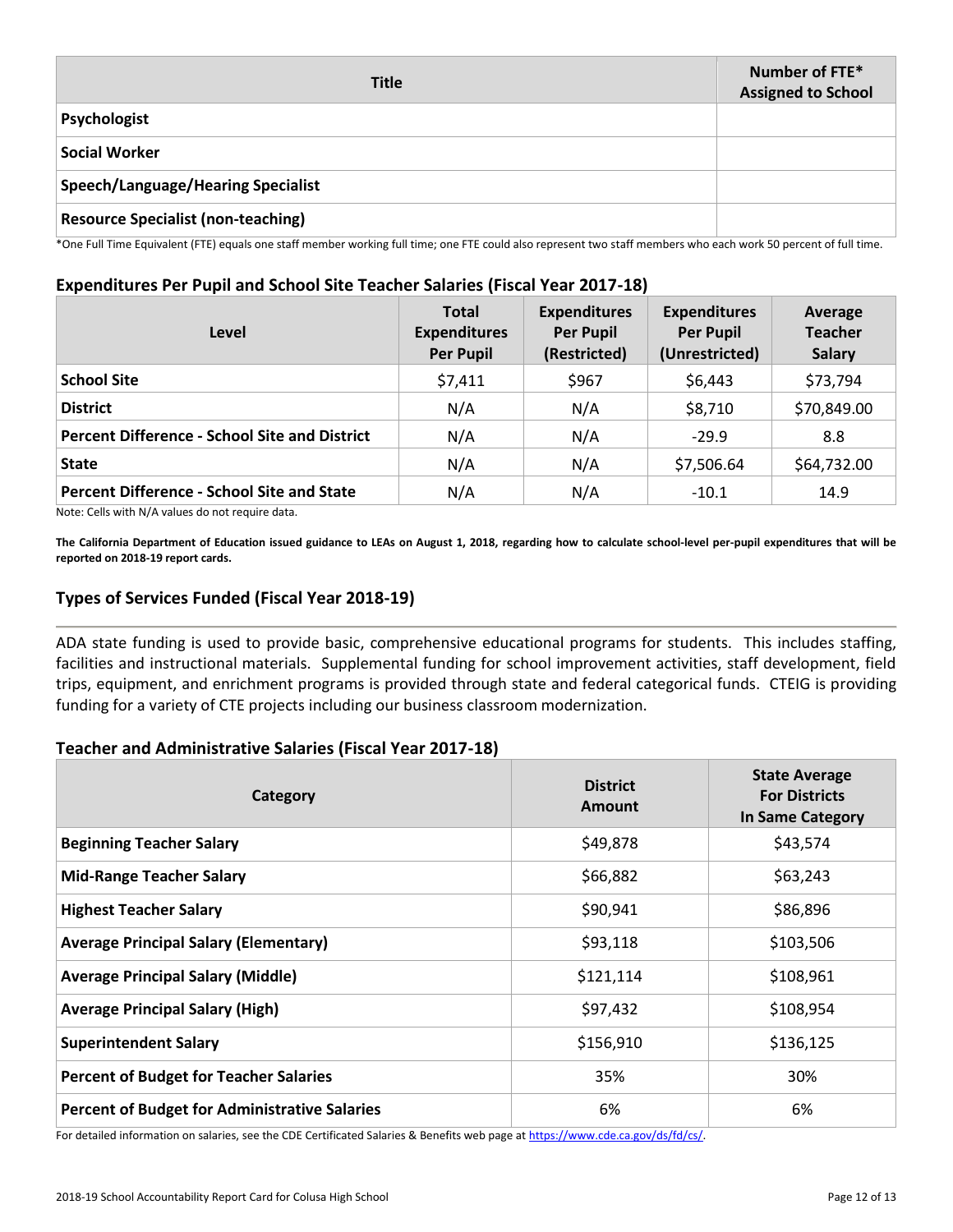| <b>Title</b>                              | Number of FTE*<br><b>Assigned to School</b> |
|-------------------------------------------|---------------------------------------------|
| Psychologist                              |                                             |
| <b>Social Worker</b>                      |                                             |
| <b>Speech/Language/Hearing Specialist</b> |                                             |
| <b>Resource Specialist (non-teaching)</b> |                                             |

\*One Full Time Equivalent (FTE) equals one staff member working full time; one FTE could also represent two staff members who each work 50 percent of full time.

#### **Expenditures Per Pupil and School Site Teacher Salaries (Fiscal Year 2017-18)**

| Level                                                | <b>Total</b><br><b>Expenditures</b><br><b>Per Pupil</b> | <b>Expenditures</b><br><b>Per Pupil</b><br>(Restricted) | <b>Expenditures</b><br><b>Per Pupil</b><br>(Unrestricted) | Average<br><b>Teacher</b><br><b>Salary</b> |
|------------------------------------------------------|---------------------------------------------------------|---------------------------------------------------------|-----------------------------------------------------------|--------------------------------------------|
| <b>School Site</b>                                   | \$7,411                                                 | \$967                                                   | \$6,443                                                   | \$73,794                                   |
| <b>District</b>                                      | N/A                                                     | N/A                                                     | \$8,710                                                   | \$70,849.00                                |
| <b>Percent Difference - School Site and District</b> | N/A                                                     | N/A                                                     | $-29.9$                                                   | 8.8                                        |
| <b>State</b>                                         | N/A                                                     | N/A                                                     | \$7,506.64                                                | \$64,732.00                                |
| <b>Percent Difference - School Site and State</b>    | N/A                                                     | N/A                                                     | $-10.1$                                                   | 14.9                                       |

Note: Cells with N/A values do not require data.

**The California Department of Education issued guidance to LEAs on August 1, 2018, regarding how to calculate school-level per-pupil expenditures that will be reported on 2018-19 report cards.**

#### **Types of Services Funded (Fiscal Year 2018-19)**

ADA state funding is used to provide basic, comprehensive educational programs for students. This includes staffing, facilities and instructional materials. Supplemental funding for school improvement activities, staff development, field trips, equipment, and enrichment programs is provided through state and federal categorical funds. CTEIG is providing funding for a variety of CTE projects including our business classroom modernization.

#### **Teacher and Administrative Salaries (Fiscal Year 2017-18)**

| Category                                             | <b>District</b><br><b>Amount</b> | <b>State Average</b><br><b>For Districts</b><br><b>In Same Category</b> |  |
|------------------------------------------------------|----------------------------------|-------------------------------------------------------------------------|--|
| <b>Beginning Teacher Salary</b>                      | \$49,878                         | \$43,574                                                                |  |
| <b>Mid-Range Teacher Salary</b>                      | \$66,882                         | \$63,243                                                                |  |
| <b>Highest Teacher Salary</b>                        | \$90,941                         | \$86,896                                                                |  |
| <b>Average Principal Salary (Elementary)</b>         | \$93,118                         | \$103,506                                                               |  |
| <b>Average Principal Salary (Middle)</b>             | \$121,114                        | \$108,961                                                               |  |
| <b>Average Principal Salary (High)</b>               | \$97,432                         | \$108,954                                                               |  |
| <b>Superintendent Salary</b>                         | \$156,910                        | \$136,125                                                               |  |
| <b>Percent of Budget for Teacher Salaries</b>        | 35%                              | 30%                                                                     |  |
| <b>Percent of Budget for Administrative Salaries</b> | 6%                               | 6%                                                                      |  |

For detailed information on salaries, see the CDE Certificated Salaries & Benefits web page at https://www.cde.ca.gov/ds/fd/cs/.